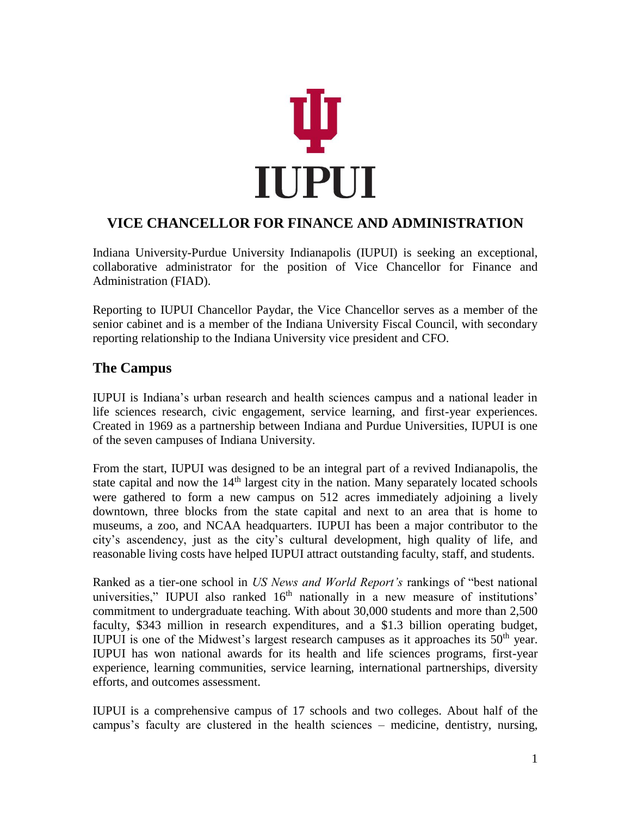

# **VICE CHANCELLOR FOR FINANCE AND ADMINISTRATION**

Indiana University-Purdue University Indianapolis (IUPUI) is seeking an exceptional, collaborative administrator for the position of Vice Chancellor for Finance and Administration (FIAD).

Reporting to IUPUI Chancellor Paydar, the Vice Chancellor serves as a member of the senior cabinet and is a member of the Indiana University Fiscal Council, with secondary reporting relationship to the Indiana University vice president and CFO.

# **The Campus**

IUPUI is Indiana's urban research and health sciences campus and a national leader in life sciences research, civic engagement, service learning, and first-year experiences. Created in 1969 as a partnership between Indiana and Purdue Universities, IUPUI is one of the seven campuses of Indiana University.

From the start, IUPUI was designed to be an integral part of a revived Indianapolis, the state capital and now the  $14<sup>th</sup>$  largest city in the nation. Many separately located schools were gathered to form a new campus on 512 acres immediately adjoining a lively downtown, three blocks from the state capital and next to an area that is home to museums, a zoo, and NCAA headquarters. IUPUI has been a major contributor to the city's ascendency, just as the city's cultural development, high quality of life, and reasonable living costs have helped IUPUI attract outstanding faculty, staff, and students.

Ranked as a tier-one school in *US News and World Report's* rankings of "best national universities," IUPUI also ranked  $16<sup>th</sup>$  nationally in a new measure of institutions' commitment to undergraduate teaching. With about 30,000 students and more than 2,500 faculty, \$343 million in research expenditures, and a \$1.3 billion operating budget, IUPUI is one of the Midwest's largest research campuses as it approaches its  $50<sup>th</sup>$  year. IUPUI has won national awards for its health and life sciences programs, first-year experience, learning communities, service learning, international partnerships, diversity efforts, and outcomes assessment.

IUPUI is a comprehensive campus of 17 schools and two colleges. About half of the campus's faculty are clustered in the health sciences – medicine, dentistry, nursing,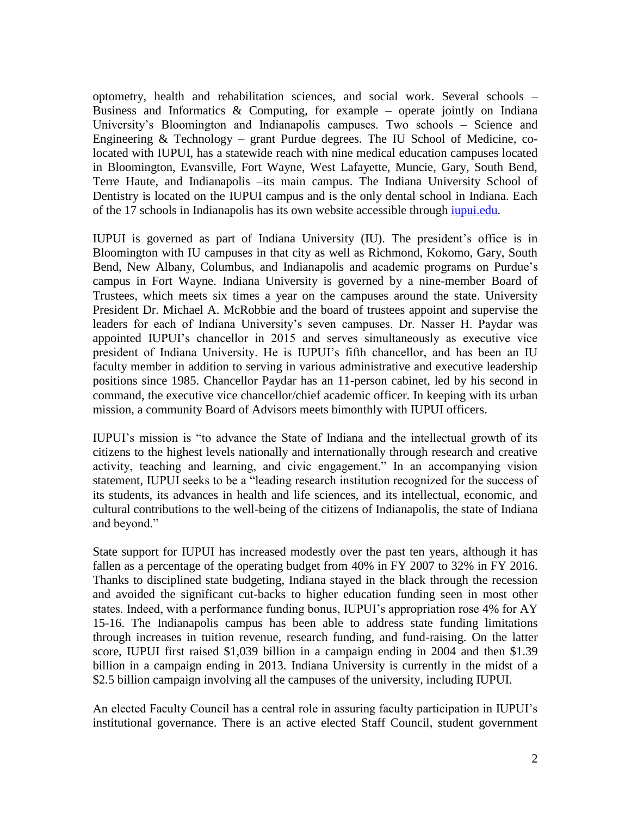optometry, health and rehabilitation sciences, and social work. Several schools – Business and Informatics  $\&$  Computing, for example – operate jointly on Indiana University's Bloomington and Indianapolis campuses. Two schools – Science and Engineering & Technology – grant Purdue degrees. The IU School of Medicine, colocated with IUPUI, has a statewide reach with nine medical education campuses located in Bloomington, Evansville, Fort Wayne, West Lafayette, Muncie, Gary, South Bend, Terre Haute, and Indianapolis –its main campus. The Indiana University School of Dentistry is located on the IUPUI campus and is the only dental school in Indiana. Each of the 17 schools in Indianapolis has its own website accessible through [iupui.edu.](http://www.iupui.edu/)

IUPUI is governed as part of Indiana University (IU). The president's office is in Bloomington with IU campuses in that city as well as Richmond, Kokomo, Gary, South Bend, New Albany, Columbus, and Indianapolis and academic programs on Purdue's campus in Fort Wayne. Indiana University is governed by a nine-member Board of Trustees, which meets six times a year on the campuses around the state. University President Dr. Michael A. McRobbie and the board of trustees appoint and supervise the leaders for each of Indiana University's seven campuses. Dr. Nasser H. Paydar was appointed IUPUI's chancellor in 2015 and serves simultaneously as executive vice president of Indiana University. He is IUPUI's fifth chancellor, and has been an IU faculty member in addition to serving in various administrative and executive leadership positions since 1985. Chancellor Paydar has an 11-person cabinet, led by his second in command, the executive vice chancellor/chief academic officer. In keeping with its urban mission, a community Board of Advisors meets bimonthly with IUPUI officers.

IUPUI's mission is "to advance the State of Indiana and the intellectual growth of its citizens to the highest levels nationally and internationally through research and creative activity, teaching and learning, and civic engagement." In an accompanying vision statement, IUPUI seeks to be a "leading research institution recognized for the success of its students, its advances in health and life sciences, and its intellectual, economic, and cultural contributions to the well-being of the citizens of Indianapolis, the state of Indiana and beyond."

State support for IUPUI has increased modestly over the past ten years, although it has fallen as a percentage of the operating budget from 40% in FY 2007 to 32% in FY 2016. Thanks to disciplined state budgeting, Indiana stayed in the black through the recession and avoided the significant cut-backs to higher education funding seen in most other states. Indeed, with a performance funding bonus, IUPUI's appropriation rose 4% for AY 15-16. The Indianapolis campus has been able to address state funding limitations through increases in tuition revenue, research funding, and fund-raising. On the latter score, IUPUI first raised \$1,039 billion in a campaign ending in 2004 and then \$1.39 billion in a campaign ending in 2013. Indiana University is currently in the midst of a \$2.5 billion campaign involving all the campuses of the university, including IUPUI.

An elected Faculty Council has a central role in assuring faculty participation in IUPUI's institutional governance. There is an active elected Staff Council, student government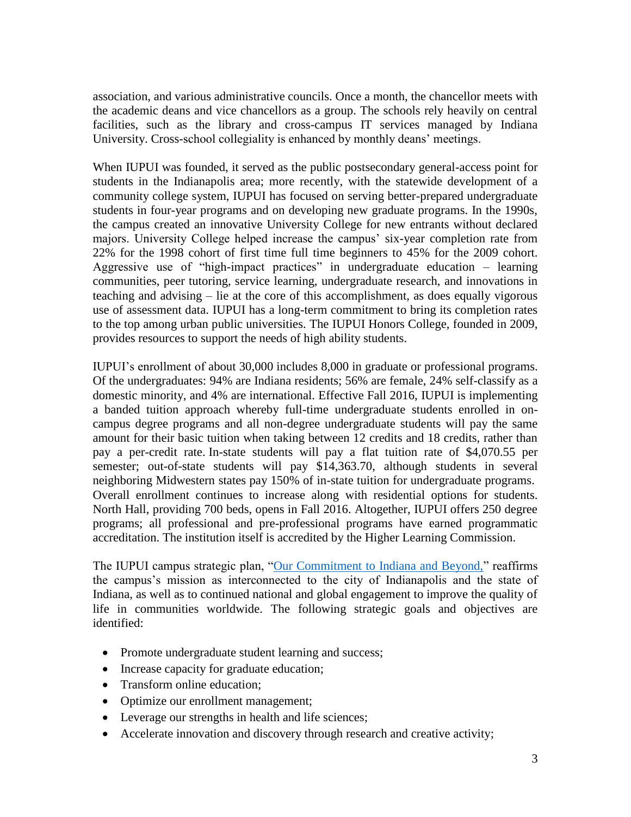association, and various administrative councils. Once a month, the chancellor meets with the academic deans and vice chancellors as a group. The schools rely heavily on central facilities, such as the library and cross-campus IT services managed by Indiana University. Cross-school collegiality is enhanced by monthly deans' meetings.

When IUPUI was founded, it served as the public postsecondary general-access point for students in the Indianapolis area; more recently, with the statewide development of a community college system, IUPUI has focused on serving better-prepared undergraduate students in four-year programs and on developing new graduate programs. In the 1990s, the campus created an innovative University College for new entrants without declared majors. University College helped increase the campus' six-year completion rate from 22% for the 1998 cohort of first time full time beginners to 45% for the 2009 cohort. Aggressive use of "high-impact practices" in undergraduate education – learning communities, peer tutoring, service learning, undergraduate research, and innovations in teaching and advising – lie at the core of this accomplishment, as does equally vigorous use of assessment data. IUPUI has a long-term commitment to bring its completion rates to the top among urban public universities. The IUPUI Honors College, founded in 2009, provides resources to support the needs of high ability students.

IUPUI's enrollment of about 30,000 includes 8,000 in graduate or professional programs. Of the undergraduates: 94% are Indiana residents; 56% are female, 24% self-classify as a domestic minority, and 4% are international. Effective Fall 2016, IUPUI is implementing a banded tuition approach whereby full-time undergraduate students enrolled in oncampus degree programs and all non-degree undergraduate students will pay the same amount for their basic tuition when taking between 12 credits and 18 credits, rather than pay a per-credit rate. In-state students will pay a flat tuition rate of \$4,070.55 per semester; out-of-state students will pay \$14,363.70, although students in several neighboring Midwestern states pay 150% of in-state tuition for undergraduate programs. Overall enrollment continues to increase along with residential options for students. North Hall, providing 700 beds, opens in Fall 2016. Altogether, IUPUI offers 250 degree programs; all professional and pre-professional programs have earned programmatic accreditation. The institution itself is accredited by the Higher Learning Commission.

The IUPUI campus strategic plan, ["Our Commitment to Indiana and Beyond,"](http://strategicplan.iupui.edu/) reaffirms the campus's mission as interconnected to the city of Indianapolis and the state of Indiana, as well as to continued national and global engagement to improve the quality of life in communities worldwide. The following strategic goals and objectives are identified:

- Promote undergraduate student learning and success;
- Increase capacity for graduate education;
- Transform online education;
- Optimize our enrollment management;
- Leverage our strengths in health and life sciences;
- Accelerate innovation and discovery through research and creative activity;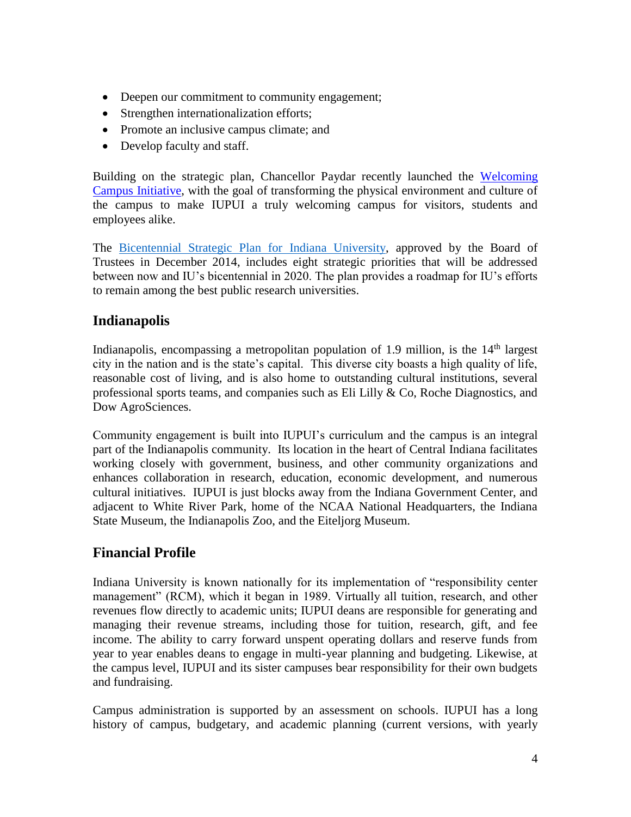- Deepen our commitment to community engagement;
- Strengthen internationalization efforts;
- Promote an inclusive campus climate; and
- Develop faculty and staff.

Building on the strategic plan, Chancellor Paydar recently launched the [Welcoming](http://welcoming.iupui.edu/)  [Campus Initiative,](http://welcoming.iupui.edu/) with the goal of transforming the physical environment and culture of the campus to make IUPUI a truly welcoming campus for visitors, students and employees alike.

The [Bicentennial Strategic Plan for Indiana University,](http://strategicplan.iu.edu/) approved by the Board of Trustees in December 2014, includes eight strategic priorities that will be addressed between now and IU's bicentennial in 2020. The plan provides a roadmap for IU's efforts to remain among the best public research universities.

## **Indianapolis**

Indianapolis, encompassing a metropolitan population of 1.9 million, is the  $14<sup>th</sup>$  largest city in the nation and is the state's capital. This diverse city boasts a high quality of life, reasonable cost of living, and is also home to outstanding cultural institutions, several professional sports teams, and companies such as Eli Lilly  $\&$  Co, Roche Diagnostics, and Dow AgroSciences.

Community engagement is built into IUPUI's curriculum and the campus is an integral part of the Indianapolis community. Its location in the heart of Central Indiana facilitates working closely with government, business, and other community organizations and enhances collaboration in research, education, economic development, and numerous cultural initiatives. IUPUI is just blocks away from the Indiana Government Center, and adjacent to White River Park, home of the NCAA National Headquarters, the Indiana State Museum, the Indianapolis Zoo, and the Eiteljorg Museum.

# **Financial Profile**

Indiana University is known nationally for its implementation of "responsibility center management" (RCM), which it began in 1989. Virtually all tuition, research, and other revenues flow directly to academic units; IUPUI deans are responsible for generating and managing their revenue streams, including those for tuition, research, gift, and fee income. The ability to carry forward unspent operating dollars and reserve funds from year to year enables deans to engage in multi-year planning and budgeting. Likewise, at the campus level, IUPUI and its sister campuses bear responsibility for their own budgets and fundraising.

Campus administration is supported by an assessment on schools. IUPUI has a long history of campus, budgetary, and academic planning (current versions, with yearly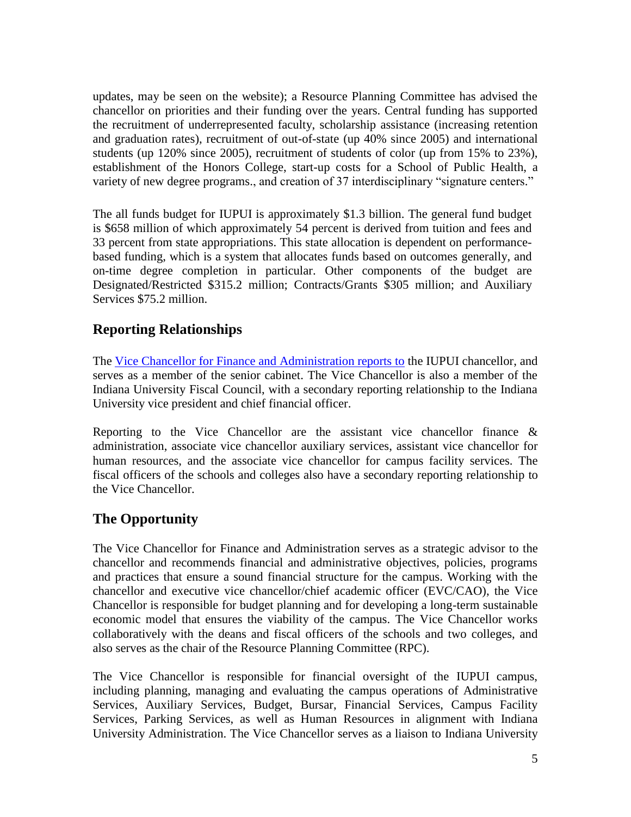updates, may be seen on the website); a Resource Planning Committee has advised the chancellor on priorities and their funding over the years. Central funding has supported the recruitment of underrepresented faculty, scholarship assistance (increasing retention and graduation rates), recruitment of out-of-state (up 40% since 2005) and international students (up 120% since 2005), recruitment of students of color (up from 15% to 23%), establishment of the Honors College, start-up costs for a School of Public Health, a variety of new degree programs., and creation of 37 interdisciplinary "signature centers."

The all funds budget for IUPUI is approximately \$1.3 billion. The general fund budget is \$658 million of which approximately 54 percent is derived from tuition and fees and 33 percent from state appropriations. This state allocation is dependent on performancebased funding, which is a system that allocates funds based on outcomes generally, and on-time degree completion in particular. Other components of the budget are Designated/Restricted \$315.2 million; Contracts/Grants \$305 million; and Auxiliary Services \$75.2 million.

#### **Reporting Relationships**

The [Vice Chancellor for Finance and Administration reports to](http://www.adaf.iupui.edu/documents/ADFIOrgChartJune%202016.pdf) the IUPUI chancellor, and serves as a member of the senior cabinet. The Vice Chancellor is also a member of the Indiana University Fiscal Council, with a secondary reporting relationship to the Indiana University vice president and chief financial officer.

Reporting to the Vice Chancellor are the assistant vice chancellor finance  $\&$ administration, associate vice chancellor auxiliary services, assistant vice chancellor for human resources, and the associate vice chancellor for campus facility services. The fiscal officers of the schools and colleges also have a secondary reporting relationship to the Vice Chancellor.

### **The Opportunity**

The Vice Chancellor for Finance and Administration serves as a strategic advisor to the chancellor and recommends financial and administrative objectives, policies, programs and practices that ensure a sound financial structure for the campus. Working with the chancellor and executive vice chancellor/chief academic officer (EVC/CAO), the Vice Chancellor is responsible for budget planning and for developing a long-term sustainable economic model that ensures the viability of the campus. The Vice Chancellor works collaboratively with the deans and fiscal officers of the schools and two colleges, and also serves as the chair of the Resource Planning Committee (RPC).

The Vice Chancellor is responsible for financial oversight of the IUPUI campus, including planning, managing and evaluating the campus operations of Administrative Services, Auxiliary Services, Budget, Bursar, Financial Services, Campus Facility Services, Parking Services, as well as Human Resources in alignment with Indiana University Administration. The Vice Chancellor serves as a liaison to Indiana University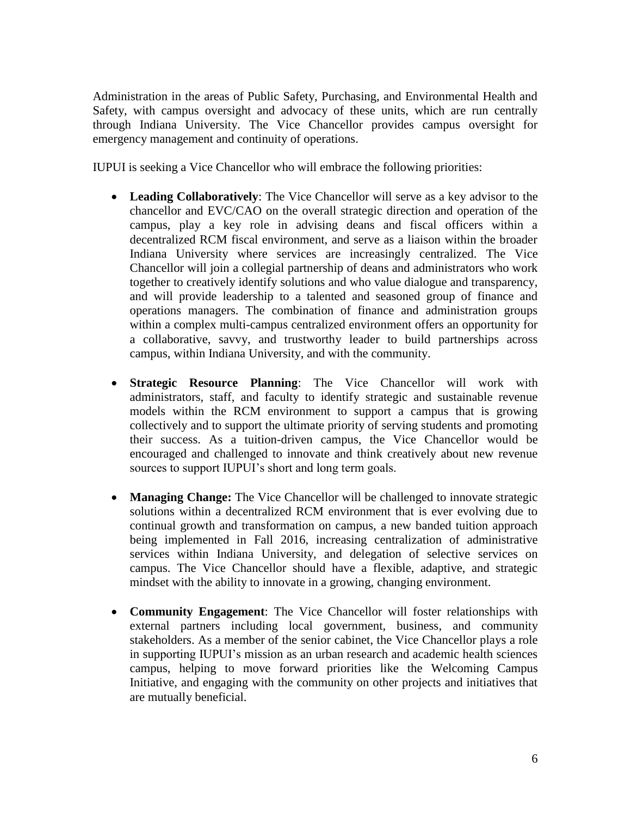Administration in the areas of Public Safety, Purchasing, and Environmental Health and Safety, with campus oversight and advocacy of these units, which are run centrally through Indiana University. The Vice Chancellor provides campus oversight for emergency management and continuity of operations.

IUPUI is seeking a Vice Chancellor who will embrace the following priorities:

- **Leading Collaboratively**: The Vice Chancellor will serve as a key advisor to the chancellor and EVC/CAO on the overall strategic direction and operation of the campus, play a key role in advising deans and fiscal officers within a decentralized RCM fiscal environment, and serve as a liaison within the broader Indiana University where services are increasingly centralized. The Vice Chancellor will join a collegial partnership of deans and administrators who work together to creatively identify solutions and who value dialogue and transparency, and will provide leadership to a talented and seasoned group of finance and operations managers. The combination of finance and administration groups within a complex multi-campus centralized environment offers an opportunity for a collaborative, savvy, and trustworthy leader to build partnerships across campus, within Indiana University, and with the community.
- **Strategic Resource Planning**: The Vice Chancellor will work with administrators, staff, and faculty to identify strategic and sustainable revenue models within the RCM environment to support a campus that is growing collectively and to support the ultimate priority of serving students and promoting their success. As a tuition-driven campus, the Vice Chancellor would be encouraged and challenged to innovate and think creatively about new revenue sources to support IUPUI's short and long term goals.
- **Managing Change:** The Vice Chancellor will be challenged to innovate strategic solutions within a decentralized RCM environment that is ever evolving due to continual growth and transformation on campus, a new banded tuition approach being implemented in Fall 2016, increasing centralization of administrative services within Indiana University, and delegation of selective services on campus. The Vice Chancellor should have a flexible, adaptive, and strategic mindset with the ability to innovate in a growing, changing environment.
- **Community Engagement**: The Vice Chancellor will foster relationships with external partners including local government, business, and community stakeholders. As a member of the senior cabinet, the Vice Chancellor plays a role in supporting IUPUI's mission as an urban research and academic health sciences campus, helping to move forward priorities like the Welcoming Campus Initiative, and engaging with the community on other projects and initiatives that are mutually beneficial.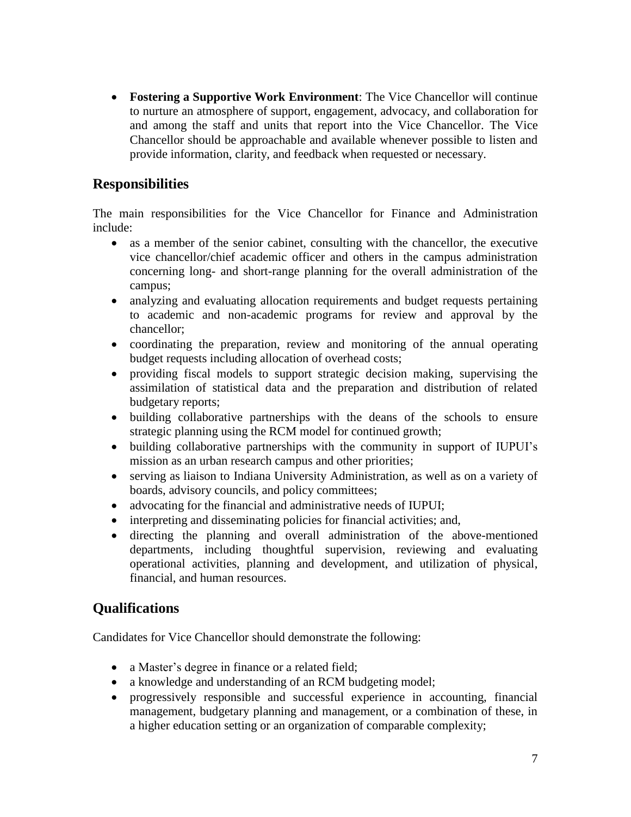**Fostering a Supportive Work Environment**: The Vice Chancellor will continue to nurture an atmosphere of support, engagement, advocacy, and collaboration for and among the staff and units that report into the Vice Chancellor. The Vice Chancellor should be approachable and available whenever possible to listen and provide information, clarity, and feedback when requested or necessary.

### **Responsibilities**

The main responsibilities for the Vice Chancellor for Finance and Administration include:

- as a member of the senior cabinet, consulting with the chancellor, the executive vice chancellor/chief academic officer and others in the campus administration concerning long- and short-range planning for the overall administration of the campus;
- analyzing and evaluating allocation requirements and budget requests pertaining to academic and non-academic programs for review and approval by the chancellor;
- coordinating the preparation, review and monitoring of the annual operating budget requests including allocation of overhead costs;
- providing fiscal models to support strategic decision making, supervising the assimilation of statistical data and the preparation and distribution of related budgetary reports;
- building collaborative partnerships with the deans of the schools to ensure strategic planning using the RCM model for continued growth;
- building collaborative partnerships with the community in support of IUPUI's mission as an urban research campus and other priorities;
- serving as liaison to Indiana University Administration, as well as on a variety of boards, advisory councils, and policy committees;
- advocating for the financial and administrative needs of IUPUI;
- interpreting and disseminating policies for financial activities; and,
- directing the planning and overall administration of the above-mentioned departments, including thoughtful supervision, reviewing and evaluating operational activities, planning and development, and utilization of physical, financial, and human resources.

### **Qualifications**

Candidates for Vice Chancellor should demonstrate the following:

- a Master's degree in finance or a related field;
- a knowledge and understanding of an RCM budgeting model;
- progressively responsible and successful experience in accounting, financial management, budgetary planning and management, or a combination of these, in a higher education setting or an organization of comparable complexity;